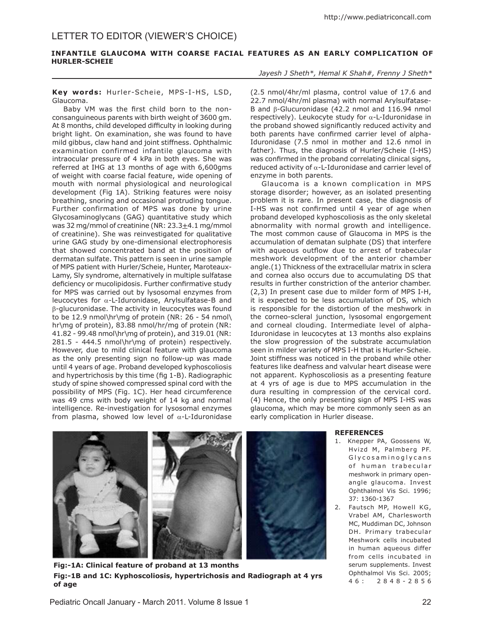# Letter to editor (Viewer's Choice)

## **INFANTILE GLAUCOMA WITH COARSE FACIAL FEATURES AS AN EARLY COMPLICATION OF HURLER-SCHEIE**

### **Key words:** Hurler-Scheie , MPS-I-HS, LSD, Glaucoma.

Baby VM was the first child born to the nonconsanguineous parents with birth weight of 3600 gm. At 8 months, child developed difficulty in looking during bright light. On examination, she was found to have mild gibbus, claw hand and joint stiffness. Ophthalmic examination confirmed infantile glaucoma with intraocular pressure of 4 kPa in both eyes. She was referred at IHG at 13 months of age with 6,600gms of weight with coarse facial feature, wide opening of mouth with normal physiological and neurological development (Fig 1A). Striking features were noisy breathing, snoring and occasional protruding tongue. Further confirmation of MPS was done by urine Glycosaminoglycans (GAG) quantitative study which was 32 mg/mmol of creatinine (NR:  $23.3\pm4.1$  mg/mmol of creatinine). She was reinvestigated for qualitative urine GAG study by one-dimensional electrophoresis that showed concentrated band at the position of dermatan sulfate. This pattern is seen in urine sample of MPS patient with Hurler/Scheie, Hunter, Maroteaux-Lamy, Sly syndrome, alternatively in multiple sulfatase deficiency or mucolipidosis. Further confirmative study for MPS was carried out by lysosomal enzymes from leucocytes for α-L-Iduronidase, Arylsulfatase-B and β-glucuronidase. The activity in leucocytes was found to be 12.9 nmol\hr\mg of protein (NR: 26 - 54 nmol\ hr\mg of protein), 83.88 nmol/hr/mg of protein (NR: 41.82 - 99.48 nmol\hr\mg of protein), and 319.01 (NR: 281.5 - 444.5 nmol\hr\mg of protein) respectively. However, due to mild clinical feature with glaucoma as the only presenting sign no follow-up was made until 4 years of age. Proband developed kyphoscoliosis and hypertrichosis by this time (fig 1-B). Radiographic study of spine showed compressed spinal cord with the possibility of MPS (Fig. 1C). Her head circumference was 49 cms with body weight of 14 kg and normal intelligence. Re-investigation for lysosomal enzymes from plasma, showed low level of  $\alpha$ -L-Iduronidase

### *Jayesh J Sheth\*, Hemal K Shah#, Frenny J Sheth\**

(2.5 nmol/4hr/ml plasma, control value of 17.6 and 22.7 nmol/4hr/ml plasma) with normal Arylsulfatase-B and β-Glucuronidase (42.2 nmol and 116.94 nmol respectively). Leukocyte study for  $\alpha$ -L-Iduronidase in the proband showed significantly reduced activity and both parents have confirmed carrier level of alpha-Iduronidase (7.5 nmol in mother and 12.6 nmol in father). Thus, the diagnosis of Hurler/Scheie (I-HS) was confirmed in the proband correlating clinical signs, reduced activity of  $\alpha$ -L-Iduronidase and carrier level of enzyme in both parents.

Glaucoma is a known complication in MPS storage disorder; however, as an isolated presenting problem it is rare. In present case, the diagnosis of I-HS was not confirmed until 4 year of age when proband developed kyphoscoliosis as the only skeletal abnormality with normal growth and intelligence. The most common cause of Glaucoma in MPS is the accumulation of dematan sulphate (DS) that interfere with aqueous outflow due to arrest of trabecular meshwork development of the anterior chamber angle.(1) Thickness of the extracellular matrix in sclera and cornea also occurs due to accumulating DS that results in further constriction of the anterior chamber. (2,3) In present case due to milder form of MPS I-H, it is expected to be less accumulation of DS, which is responsible for the distortion of the meshwork in the corneo-scleral junction, lysosomal engorgement and corneal clouding. Intermediate level of alpha-Iduronidase in leucocytes at 13 months also explains the slow progression of the substrate accumulation seen in milder variety of MPS I-H that is Hurler-Scheie. Joint stiffness was noticed in the proband while other features like deafness and valvular heart disease were not apparent. Kyphoscoliosis as a presenting feature at 4 yrs of age is due to MPS accumulation in the dura resulting in compression of the cervical cord. (4) Hence, the only presenting sign of MPS I-HS was glaucoma, which may be more commonly seen as an early complication in Hurler disease.



# **Fig:-1A: Clinical feature of proband at 13 months Fig:-1B and 1C: Kyphoscoliosis, hypertrichosis and Radiograph at 4 yrs of age**

#### **REFERENCES**

- 1. Knepper PA, Goossens W, Hvizd M, Palmberg PF. G l y c o s a m i n o g l y c a n s of human trabecular meshwork in primary openangle glaucoma. Invest Ophthalmol Vis Sci. 1996; 37: 1360-1367
- 2. Fautsch MP, Howell KG, Vrabel AM, Charlesworth MC, Muddiman DC, Johnson DH. Primary trabecular Meshwork cells incubated in human aqueous differ from cells incubated in serum supplements. Invest Ophthalmol Vis Sci. 2005; 4 6 : 2 8 4 8 - 2 8 5 6